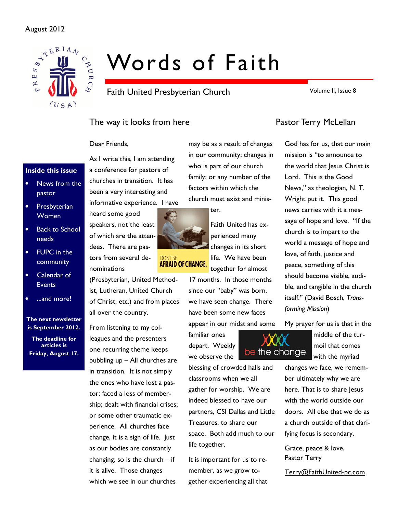# August 2012



# Words of Faith

Faith United Presbyterian Church

Volume II, Issue 8

# The way it looks from here **Pastor Terry McLellan**

Dear Friends,

# Inside this issue

- News from the pastor
- **Presbyterian Women**
- Back to School needs
- FUPC in the community
- Calendar of **Events**
- ...and more!

The next newsletter is September 2012.

The deadline for articles is Friday, August 17.

As I write this, I am attending a conference for pastors of churches in transition. It has been a very interesting and informative experience. I have

heard some good speakers, not the least of which are the attendees. There are pastors from several denominations

(Presbyterian, United Methodist, Lutheran, United Church of Christ, etc.) and from places all over the country.

From listening to my colleagues and the presenters one recurring theme keeps bubbling up – All churches are in transition. It is not simply the ones who have lost a pastor; faced a loss of membership; dealt with financial crises; or some other traumatic experience. All churches face change, it is a sign of life. Just as our bodies are constantly changing, so is the church – if it is alive. Those changes which we see in our churches

may be as a result of changes in our community; changes in who is part of our church family; or any number of the factors within which the church must exist and minis-

ter.

Faith United has experienced many changes in its short life. We have been together for almost

17 months. In those months since our "baby" was born, we have seen change. There have been some new faces appear in our midst and some

familiar ones depart. Weekly we observe the

blessing of crowded halls and classrooms when we all gather for worship. We are indeed blessed to have our partners, CSI Dallas and Little Treasures, to share our space. Both add much to our life together.

be the change

It is important for us to remember, as we grow together experiencing all that

God has for us, that our main mission is "to announce to the world that Jesus Christ is Lord. This is the Good News," as theologian, N. T. Wright put it. This good news carries with it a message of hope and love. "If the church is to impart to the world a message of hope and love, of faith, justice and peace, something of this should become visible, audible, and tangible in the church itself." (David Bosch, Transforming Mission)

My prayer for us is that in the

middle of the turmoil that comes with the myriad

changes we face, we remember ultimately why we are here. That is to share Jesus with the world outside our doors. All else that we do as a church outside of that clarifying focus is secondary.

Grace, peace & love, Pastor Terry

Terry@FaithUnited-pc.com



# **AFRAID OF CHANGE.**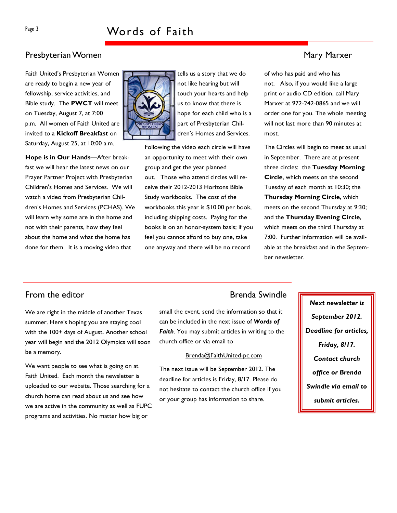# Presbyterian Women Mary Marxer (1999) and the state of the Mary Marxer (1999) and Mary Marxer (1999) and Mary Marxer

Faith United's Presbyterian Women are ready to begin a new year of fellowship, service activities, and Bible study. The PWCT will meet on Tuesday, August 7, at 7:00 p.m. All women of Faith United are invited to a **Kickoff Breakfast** on Saturday, August 25, at 10:00 a.m.

Hope is in Our Hands—After breakfast we will hear the latest news on our Prayer Partner Project with Presbyterian Children's Homes and Services. We will watch a video from Presbyterian Children's Homes and Services (PCHAS). We will learn why some are in the home and not with their parents, how they feel about the home and what the home has done for them. It is a moving video that



tells us a story that we do not like hearing but will touch your hearts and help us to know that there is hope for each child who is a part of Presbyterian Children's Homes and Services.

Following the video each circle will have an opportunity to meet with their own group and get the year planned out. Those who attend circles will receive their 2012-2013 Horizons Bible Study workbooks. The cost of the workbooks this year is \$10.00 per book, including shipping costs. Paying for the books is on an honor-system basis; if you feel you cannot afford to buy one, take one anyway and there will be no record

of who has paid and who has not. Also, if you would like a large print or audio CD edition, call Mary Marxer at 972-242-0865 and we will order one for you. The whole meeting will not last more than 90 minutes at most.

The Circles will begin to meet as usual in September. There are at present three circles: the Tuesday Morning Circle, which meets on the second Tuesday of each month at 10:30; the Thursday Morning Circle, which meets on the second Thursday at 9:30; and the Thursday Evening Circle, which meets on the third Thursday at 7:00. Further information will be available at the breakfast and in the September newsletter.

# From the editor **Brenda** Swindle

We are right in the middle of another Texas summer. Here's hoping you are staying cool with the 100+ days of August. Another school year will begin and the 2012 Olympics will soon be a memory.

We want people to see what is going on at Faith United. Each month the newsletter is uploaded to our website. Those searching for a church home can read about us and see how we are active in the community as well as FUPC programs and activities. No matter how big or

small the event, send the information so that it can be included in the next issue of Words of Faith. You may submit articles in writing to the church office or via email to

### Brenda@FaithUnited-pc.com

The next issue will be September 2012. The deadline for articles is Friday, 8/17. Please do not hesitate to contact the church office if you or your group has information to share.

Next newsletter is September 2012. Deadline for articles, Friday, 8/17. Contact church office or Brenda Swindle via email to submit articles.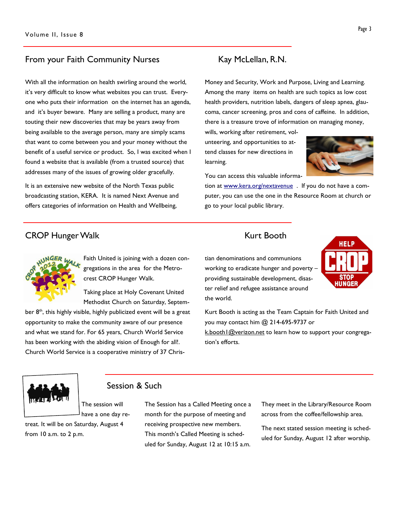# From your Faith Community Nurses Kay McLellan, R.N.

With all the information on health swirling around the world, it's very difficult to know what websites you can trust. Everyone who puts their information on the internet has an agenda, and it's buyer beware. Many are selling a product, many are touting their new discoveries that may be years away from being available to the average person, many are simply scams that want to come between you and your money without the benefit of a useful service or product. So, I was excited when I found a website that is available (from a trusted source) that addresses many of the issues of growing older gracefully.

It is an extensive new website of the North Texas public broadcasting station, KERA. It is named Next Avenue and offers categories of information on Health and Wellbeing,

Money and Security, Work and Purpose, Living and Learning. Among the many items on health are such topics as low cost health providers, nutrition labels, dangers of sleep apnea, glaucoma, cancer screening, pros and cons of caffeine. In addition, there is a treasure trove of information on managing money,

wills, working after retirement, volunteering, and opportunities to attend classes for new directions in learning.



HELP

**STOP HUNGER** 

You can access this valuable informa-

tion at www.kera.org/nextavenue . If you do not have a computer, you can use the one in the Resource Room at church or go to your local public library.

# CROP Hunger Walk **Kurt Booth**



Faith United is joining with a dozen congregations in the area for the Metrocrest CROP Hunger Walk.

Taking place at Holy Covenant United Methodist Church on Saturday, Septem-

ber  $8<sup>th</sup>$ , this highly visible, highly publicized event will be a great opportunity to make the community aware of our presence and what we stand for. For 65 years, Church World Service has been working with the abiding vision of Enough for all!. Church World Service is a cooperative ministry of 37 Chris-

tian denominations and communions working to eradicate hunger and poverty – providing sustainable development, disaster relief and refugee assistance around the world.

Kurt Booth is acting as the Team Captain for Faith United and you may contact him @ 214-695-9737 or k.booth I @verizon.net to learn how to support your congregation's efforts.



from 10 a.m. to 2 p.m.

# Session & Such

have a one day retreat. It will be on Saturday, August 4

The session will

The Session has a Called Meeting once a month for the purpose of meeting and receiving prospective new members. This month's Called Meeting is scheduled for Sunday, August 12 at 10:15 a.m.

They meet in the Library/Resource Room across from the coffee/fellowship area.

The next stated session meeting is scheduled for Sunday, August 12 after worship.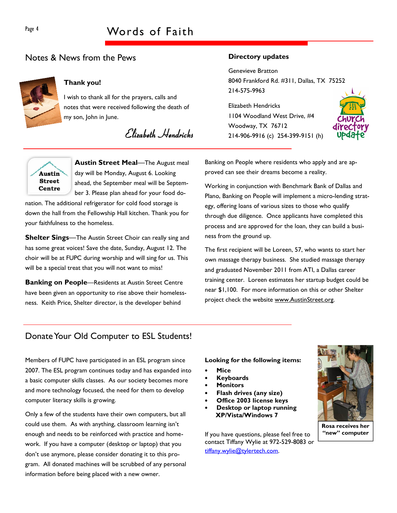# Page 4 Words of Faith

# Notes & News from the Pews



# Thank you!

I wish to thank all for the prayers, calls and notes that were received following the death of my son, John in June.

Elizabeth Hendricks



Austin Street Meal-The August meal day will be Monday, August 6. Looking ahead, the September meal will be September 3. Please plan ahead for your food do-

nation. The additional refrigerator for cold food storage is down the hall from the Fellowship Hall kitchen. Thank you for your faithfulness to the homeless.

**Shelter Sings—The Austin Street Choir can really sing and** has some great voices! Save the date, Sunday, August 12. The choir will be at FUPC during worship and will sing for us. This will be a special treat that you will not want to miss!

**Banking on People**—Residents at Austin Street Centre have been given an opportunity to rise above their homelessness. Keith Price, Shelter director, is the developer behind

## Directory updates

Genevieve Bratton 8040 Frankford Rd. #311, Dallas, TX 75252 214-575-9963

Elizabeth Hendricks 1104 Woodland West Drive, #4 Woodway, TX 76712 214-906-9916 (c) 254-399-9151 (h)



Banking on People where residents who apply and are approved can see their dreams become a reality.

Working in conjunction with Benchmark Bank of Dallas and Plano, Banking on People will implement a micro-lending strategy, offering loans of various sizes to those who qualify through due diligence. Once applicants have completed this process and are approved for the loan, they can build a business from the ground up.

The first recipient will be Loreen, 57, who wants to start her own massage therapy business. She studied massage therapy and graduated November 2011 from ATI, a Dallas career training center. Loreen estimates her startup budget could be near \$1,100. For more information on this or other Shelter project check the website www.AustinStreet.org.

# Donate Your Old Computer to ESL Students!

Members of FUPC have participated in an ESL program since 2007. The ESL program continues today and has expanded into a basic computer skills classes. As our society becomes more and more technology focused, the need for them to develop computer literacy skills is growing.

Only a few of the students have their own computers, but all could use them. As with anything, classroom learning isn't enough and needs to be reinforced with practice and homework. If you have a computer (desktop or laptop) that you don't use anymore, please consider donating it to this program. All donated machines will be scrubbed of any personal information before being placed with a new owner.

Looking for the following items:

- **Mice**
- **Keyboards**
- **Monitors**
- Flash drives (any size)
- Office 2003 license keys
- Desktop or laptop running XP/Vista/Windows 7

If you have questions, please feel free to contact Tiffany Wylie at 972-529-8083 or tiffany.wylie@tylertech.com.



Rosa receives her "new" computer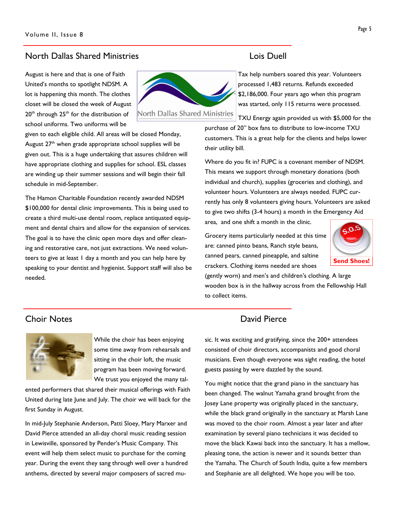# North Dallas Shared Ministries Lois Duell

August is here and that is one of Faith United's months to spotlight NDSM. A lot is happening this month. The clothes closet will be closed the week of August 20<sup>th</sup> through 25<sup>th</sup> for the distribution of school uniforms. Two uniforms will be



given to each eligible child. All areas will be closed Monday, August 27<sup>th</sup> when grade appropriate school supplies will be given out. This is a huge undertaking that assures children will have appropriate clothing and supplies for school. ESL classes are winding up their summer sessions and will begin their fall schedule in mid-September.

The Hamon Charitable Foundation recently awarded NDSM \$100,000 for dental clinic improvements. This is being used to create a third multi-use dental room, replace antiquated equipment and dental chairs and allow for the expansion of services. The goal is to have the clinic open more days and offer cleaning and restorative care, not just extractions. We need volunteers to give at least 1 day a month and you can help here by speaking to your dentist and hygienist. Support staff will also be needed.

Tax help numbers soared this year. Volunteers processed 1,483 returns. Refunds exceeded \$2,186,000. Four years ago when this program was started, only 115 returns were processed.

TXU Energy again provided us with \$5,000 for the purchase of 20" box fans to distribute to low-income TXU customers. This is a great help for the clients and helps lower their utility bill.

Where do you fit in? FUPC is a covenant member of NDSM. This means we support through monetary donations (both individual and church), supplies (groceries and clothing), and volunteer hours. Volunteers are always needed. FUPC currently has only 8 volunteers giving hours. Volunteers are asked to give two shifts (3-4 hours) a month in the Emergency Aid area, and one shift a month in the clinic.

Grocery items particularly needed at this time are: canned pinto beans, Ranch style beans, canned pears, canned pineapple, and saltine crackers. Clothing items needed are shoes



(gently worn) and men's and children's clothing. A large wooden box is in the hallway across from the Fellowship Hall to collect items.



While the choir has been enjoying some time away from rehearsals and sitting in the choir loft, the music program has been moving forward. We trust you enjoyed the many tal-

ented performers that shared their musical offerings with Faith United during late June and July. The choir we will back for the first Sunday in August.

In mid-July Stephanie Anderson, Patti Sloey, Mary Marxer and David Pierce attended an all-day choral music reading session in Lewisville, sponsored by Pender's Music Company. This event will help them select music to purchase for the coming year. During the event they sang through well over a hundred anthems, directed by several major composers of sacred mu-

# **Choir Notes Choir Notes**

sic. It was exciting and gratifying, since the 200+ attendees consisted of choir directors, accompanists and good choral musicians. Even though everyone was sight reading, the hotel guests passing by were dazzled by the sound.

You might notice that the grand piano in the sanctuary has been changed. The walnut Yamaha grand brought from the Josey Lane property was originally placed in the sanctuary, while the black grand originally in the sanctuary at Marsh Lane was moved to the choir room. Almost a year later and after examination by several piano technicians it was decided to move the black Kawai back into the sanctuary. It has a mellow, pleasing tone, the action is newer and it sounds better than the Yamaha. The Church of South India, quite a few members and Stephanie are all delighted. We hope you will be too.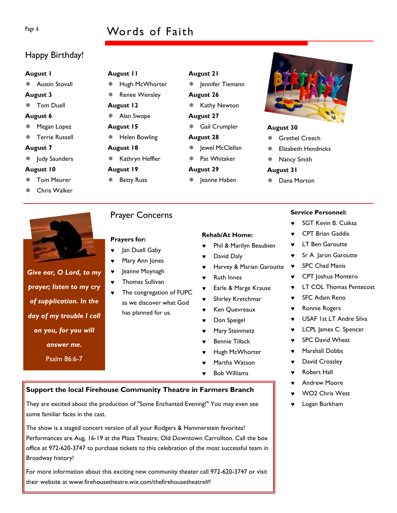# Page 6 Words of Faith

# Happy Birthday!

### August 1

Austin Stovall

### August 3

Tom Duell

### August 6

- Megan Lopez
- Terrie Russell

### August 7

Judy Saunders

### August 10

- Tom Meurer
- Chris Walker



# Give ear, O Lord, to my prayer; listen to my cry of supplication. In the day of my trouble I call on you, for you will answer me. Psalm 86:6-7

# August 11

- Hugh McWhorter
- Renee Wensley
- August 12
- Alan Swope
- August 15
- Helen Bowling
- August 18
- \* Kathryn Heffler
- 

# August 19

- Betty Russ
- Pat Whitaker August 29

August 21

August 26

August 27

August 28

Jennifer Tiemann

**※ Kathy Newton** 

Gail Crumpler

Jewel McClellan

- 
- 
- 
- Jeanne Haben

# Prayers for:

Jan Duell Gaby

Prayer Concerns

- Mary Ann Jones
- ♥ Jeanne Moynagh
- Thomas Sullivan
- ♥ The congregation of FUPC as we discover what God has planned for us.

### Rehab/At Home:

- Phil & Marilyn Beaubien
- David Daly
- Harvey & Marian Garoutte
- **Ruth Innes**
- Earle & Marge Krause
- ♥ Shirley Kretchmar
- Ken Quevreaux
- Don Speigel
- Mary Steinmetz
- Bennie Tillack
- Hugh McWhorter
- Martha Watson
- **Bob Williams**

# Support the local Firehouse Community Theatre in Farmers Branch

They are excited about the production of "Some Enchanted Evening!" You may even see some familiar faces in the cast.

The show is a staged concert version of all your Rodgers & Hammerstein favorites! Performances are Aug. 16-19 at the Plaza Theatre, Old Downtown Carrollton. Call the box office at 972-620-3747 to purchase tickets to this celebration of the most successful team in Broadway history!

For more information about this exciting new community theater call 972-620-3747 or visit their website at www.firehousetheatre.wix.com/thefirehousetheatre#!

## August 30

- Grethel Creech
- Elizabeth Hendricks
- Nancy Smith

### August 31

Dana Morton

# Service Personnel:

- ♥ SGT Kevin B. Cuiksa
- **CPT Brian Gaddis**
- ♥ LT Ben Garoutte
- ♥ Sr A Jaron Garoutte
- ♥ SPC Chad Manis
- ♥ CPT Joshua Montero
- **LT COL Thomas Pentecost**
- ♥ SFC Adam Reno
- ♥ Ronnie Rogers
- ♥ USAF 1st LT Andre Silva
- LCPL James C. Spencer
- ♥ SPC David Wheat
- ♥ Marshall Dobbs
- ♥ David Crossley
- ♥ Robert Hall
- **Andrew Moore**
- WO<sub>2</sub> Chris West
- ♥ Logan Burkham

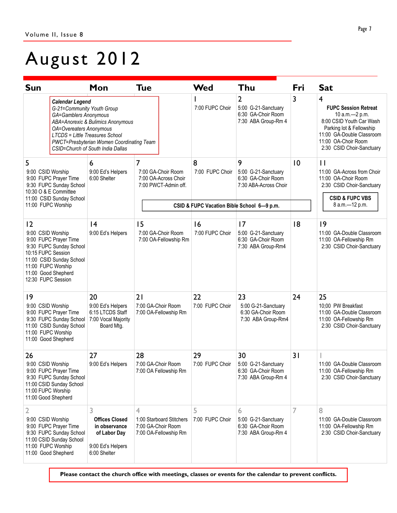# August 2012

| <b>Sun</b>                                                                                                                                                                                      | Mon                                                                                                                                                                      | <b>Tue</b>                                                                   | Wed                   | Thu                                                                                | Fri            | <b>Sat</b>                                                                                                                                                                                                          |
|-------------------------------------------------------------------------------------------------------------------------------------------------------------------------------------------------|--------------------------------------------------------------------------------------------------------------------------------------------------------------------------|------------------------------------------------------------------------------|-----------------------|------------------------------------------------------------------------------------|----------------|---------------------------------------------------------------------------------------------------------------------------------------------------------------------------------------------------------------------|
| <b>Calendar Legend</b><br>G-21=Community Youth Group<br>GA=Gamblers Anonymous<br><b>OA=Overeaters Anonymous</b>                                                                                 | <b>ABA=Anorexic &amp; Bulimics Anonymous</b><br><b>LTCDS = Little Treasures School</b><br>PWCT=Presbyterian Women Coordinating Team<br>CSID=Church of South India Dallas |                                                                              | 7:00 FUPC Choir       | $\overline{2}$<br>5:00 G-21-Sanctuary<br>6:30 GA-Choir Room<br>7:30 ABA Group-Rm 4 | 3              | $\overline{\mathbf{4}}$<br><b>FUPC Session Retreat</b><br>10 a.m. - 2 p.m.<br>8:00 CSID Youth Car Wash<br>Parking lot & Fellowship<br>11:00 GA-Double Classroom<br>11:00 OA-Choir Room<br>2:30 CSID Choir-Sanctuary |
| 5                                                                                                                                                                                               | 6                                                                                                                                                                        | $\overline{7}$                                                               | 8                     | 9                                                                                  | $\overline{0}$ | $\mathsf{I}$                                                                                                                                                                                                        |
| 9:00 CSID Worship<br>9:00 FUPC Prayer Time<br>9:30 FUPC Sunday School<br>10:30 O & E Committee<br>11:00 CSID Sunday School<br>11:00 FUPC Worship                                                | 9:00 Ed's Helpers<br>6:00 Shelter                                                                                                                                        | 7:00 GA-Choir Room<br>7:00 OA-Across Choir<br>7:00 PWCT-Admin off.           | 7:00 FUPC Choir       | 5:00 G-21-Sanctuary<br>6:30 GA-Choir Room<br>7:30 ABA-Across Choir                 |                | 11:00 GA-Across from Choir<br>11:00 OA-Choir Room<br>2:30 CSID Choir-Sanctuary<br><b>CSID &amp; FUPC VBS</b>                                                                                                        |
|                                                                                                                                                                                                 |                                                                                                                                                                          | CSID & FUPC Vacation Bible School 6-9 p.m.                                   |                       |                                                                                    |                | 8 a.m.-12 p.m.                                                                                                                                                                                                      |
| 2<br>9:00 CSID Worship<br>9:00 FUPC Prayer Time<br>9:30 FUPC Sunday School<br>10:15 FUPC Session<br>11:00 CSID Sunday School<br>11:00 FUPC Worship<br>11:00 Good Shepherd<br>12:30 FUPC Session | 4<br>9:00 Ed's Helpers                                                                                                                                                   | 15<br>7:00 GA-Choir Room<br>7:00 OA-Fellowship Rm                            | 16<br>7:00 FUPC Choir | 17<br>5:00 G-21-Sanctuary<br>6:30 GA-Choir Room<br>7:30 ABA Group-Rm4              | 18             | 9<br>11:00 GA-Double Classroom<br>11:00 OA-Fellowship Rm<br>2:30 CSID Choir-Sanctuary                                                                                                                               |
| 9<br>9:00 CSID Worship<br>9:00 FUPC Prayer Time<br>9:30 FUPC Sunday School<br>11:00 CSID Sunday School<br>11:00 FUPC Worship<br>11:00 Good Shepherd                                             | 20<br>9:00 Ed's Helpers<br>6:15 LTCDS Staff<br>7:00 Vocal Majority<br>Board Mtg.                                                                                         | 21<br>7:00 GA-Choir Room<br>7:00 OA-Fellowship Rm                            | 22<br>7:00 FUPC Choir | 23<br>5:00 G-21-Sanctuary<br>6:30 GA-Choir Room<br>7:30 ABA Group-Rm4              | 24             | 25<br>10:00 PW Breakfast<br>11:00 GA-Double Classroom<br>11:00 OA-Fellowship Rm<br>2:30 CSID Choir-Sanctuary                                                                                                        |
| 26<br>9:00 CSID Worship<br>9:00 FUPC Prayer Time<br>9:30 FUPC Sunday School<br>11:00 CSID Sunday School<br>11:00 FUPC Worship<br>11:00 Good Shepherd                                            | 27<br>9:00 Ed's Helpers                                                                                                                                                  | 28<br>7:00 GA-Choir Room<br>7:00 OA Fellowship Rm                            | 29<br>7:00 FUPC Choir | 30<br>5:00 G-21-Sanctuary<br>6:30 GA-Choir Room<br>7:30 ABA Group-Rm 4             | 31             | 11:00 GA-Double Classroom<br>11:00 OA-Fellowship Rm<br>2:30 CSID Choir-Sanctuary                                                                                                                                    |
| 2<br>9:00 CSID Worship<br>9:00 FUPC Prayer Time<br>9:30 FUPC Sunday School<br>11:00 CSID Sunday School<br>11:00 FUPC Worship<br>11:00 Good Shepherd                                             | 3<br><b>Offices Closed</b><br>in observance<br>of Labor Day<br>9:00 Ed's Helpers<br>6:00 Shelter                                                                         | 4<br>1:00 Starboard Stitchers<br>7:00 GA-Choir Room<br>7:00 OA-Fellowship Rm | 5<br>7:00 FUPC Choir  | 6<br>5:00 G-21-Sanctuary<br>6:30 GA-Choir Room<br>7:30 ABA Group-Rm 4              | 7              | 8<br>11:00 GA-Double Classroom<br>11:00 OA-Fellowship Rm<br>2:30 CSID Choir-Sanctuary                                                                                                                               |

Please contact the church office with meetings, classes or events for the calendar to prevent conflicts.